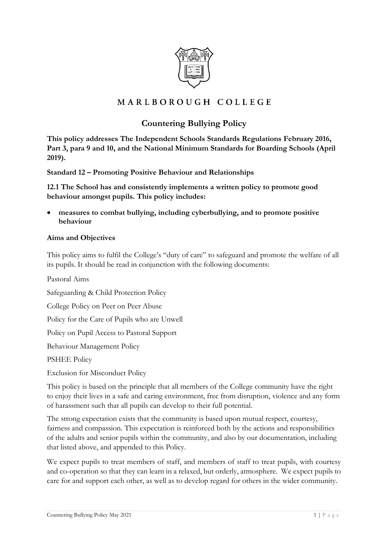

# MARLBOROUGH COLLEGE

# **Countering Bullying Policy**

**This policy addresses The Independent Schools Standards Regulations February 2016, Part 3, para 9 and 10, and the National Minimum Standards for Boarding Schools (April 2019).**

**Standard 12 – Promoting Positive Behaviour and Relationships**

**12.1 The School has and consistently implements a written policy to promote good behaviour amongst pupils. This policy includes:**

measures to combat bullying, including cyberbullying, and to promote positive **behaviour**

#### **Aims and Objectives**

This policy aims to fulfil the College's "duty of care" to safeguard and promote the welfare of all its pupils. It should be read in conjunction with the following documents:

Pastoral Aims Safeguarding & Child Protection Policy College Policy on Peer on Peer Abuse Policy for the Care of Pupils who are Unwell Policy on Pupil Access to Pastoral Support Behaviour Management Policy PSHEE Policy

Exclusion for Misconduct Policy

This policy is based on the principle that all members of the College community have the right to enjoy their lives in a safe and caring environment, free from disruption, violence and any form of harassment such that all pupils can develop to their full potential.

The strong expectation exists that the community is based upon mutual respect, courtesy, fairness and compassion. This expectation is reinforced both by the actions and responsibilities of the adults and senior pupils within the community, and also by our documentation, including that listed above, and appended to this Policy.

We expect pupils to treat members of staff, and members of staff to treat pupils, with courtesy and co-operation so that they can learn in a relaxed, but orderly, atmosphere. We expect pupils to care for and support each other, as well as to develop regard for others in the wider community.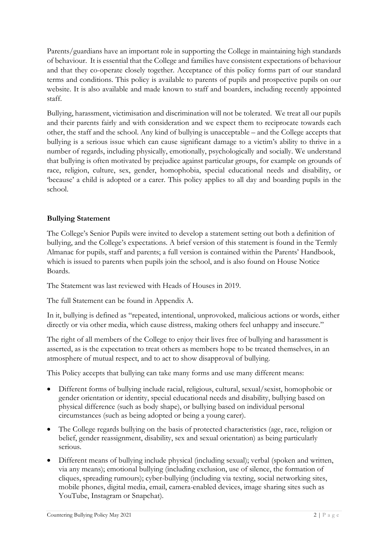Parents/guardians have an important role in supporting the College in maintaining high standards of behaviour. It is essential that the College and families have consistent expectations of behaviour and that they co-operate closely together. Acceptance of this policy forms part of our standard terms and conditions. This policy is available to parents of pupils and prospective pupils on our website. It is also available and made known to staff and boarders, including recently appointed staff.

Bullying, harassment, victimisation and discrimination will not be tolerated. We treat all our pupils and their parents fairly and with consideration and we expect them to reciprocate towards each other, the staff and the school. Any kind of bullying is unacceptable – and the College accepts that bullying is a serious issue which can cause significant damage to a victim's ability to thrive in a number of regards, including physically, emotionally, psychologically and socially. We understand that bullying is often motivated by prejudice against particular groups, for example on grounds of race, religion, culture, sex, gender, homophobia, special educational needs and disability, or 'because' a child is adopted or a carer. This policy applies to all day and boarding pupils in the school.

#### **Bullying Statement**

The College's Senior Pupils were invited to develop a statement setting out both a definition of bullying, and the College's expectations. A brief version of this statement is found in the Termly Almanac for pupils, staff and parents; a full version is contained within the Parents' Handbook, which is issued to parents when pupils join the school, and is also found on House Notice Boards.

The Statement was last reviewed with Heads of Houses in 2019.

The full Statement can be found in Appendix A.

In it, bullying is defined as "repeated, intentional, unprovoked, malicious actions or words, either directly or via other media, which cause distress, making others feel unhappy and insecure."

The right of all members of the College to enjoy their lives free of bullying and harassment is asserted, as is the expectation to treat others as members hope to be treated themselves, in an atmosphere of mutual respect, and to act to show disapproval of bullying.

This Policy accepts that bullying can take many forms and use many different means:

- Different forms of bullying include racial, religious, cultural, sexual/sexist, homophobic or gender orientation or identity, special educational needs and disability, bullying based on physical difference (such as body shape), or bullying based on individual personal circumstances (such as being adopted or being a young carer).
- The College regards bullying on the basis of protected characteristics (age, race, religion or belief, gender reassignment, disability, sex and sexual orientation) as being particularly serious.
- Different means of bullying include physical (including sexual); verbal (spoken and written, via any means); emotional bullying (including exclusion, use of silence, the formation of cliques, spreading rumours); cyber-bullying (including via texting, social networking sites, mobile phones, digital media, email, camera-enabled devices, image sharing sites such as YouTube, Instagram or Snapchat).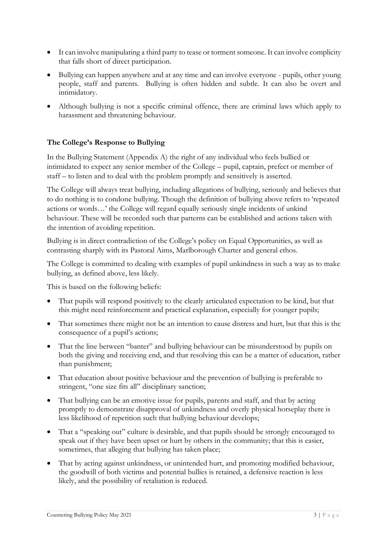- It can involve manipulating a third party to tease or torment someone. It can involve complicity that falls short of direct participation.
- Bullying can happen anywhere and at any time and can involve everyone pupils, other young people, staff and parents. Bullying is often hidden and subtle. It can also be overt and intimidatory.
- Although bullying is not a specific criminal offence, there are criminal laws which apply to harassment and threatening behaviour.

#### **The College's Response to Bullying**

In the Bullying Statement (Appendix A) the right of any individual who feels bullied or intimidated to expect any senior member of the College – pupil, captain, prefect or member of staff – to listen and to deal with the problem promptly and sensitively is asserted.

The College will always treat bullying, including allegations of bullying, seriously and believes that to do nothing is to condone bullying. Though the definition of bullying above refers to 'repeated actions or words…' the College will regard equally seriously single incidents of unkind behaviour. These will be recorded such that patterns can be established and actions taken with the intention of avoiding repetition.

Bullying is in direct contradiction of the College's policy on Equal Opportunities, as well as contrasting sharply with its Pastoral Aims, Marlborough Charter and general ethos.

The College is committed to dealing with examples of pupil unkindness in such a way as to make bullying, as defined above, less likely.

This is based on the following beliefs:

- That pupils will respond positively to the clearly articulated expectation to be kind, but that this might need reinforcement and practical explanation, especially for younger pupils;
- That sometimes there might not be an intention to cause distress and hurt, but that this is the consequence of a pupil's actions;
- That the line between "banter" and bullying behaviour can be misunderstood by pupils on both the giving and receiving end, and that resolving this can be a matter of education, rather than punishment;
- That education about positive behaviour and the prevention of bullying is preferable to stringent, "one size fits all" disciplinary sanction;
- That bullying can be an emotive issue for pupils, parents and staff, and that by acting promptly to demonstrate disapproval of unkindness and overly physical horseplay there is less likelihood of repetition such that bullying behaviour develops;
- That a "speaking out" culture is desirable, and that pupils should be strongly encouraged to speak out if they have been upset or hurt by others in the community; that this is easier, sometimes, that alleging that bullying has taken place;
- That by acting against unkindness, or unintended hurt, and promoting modified behaviour, the goodwill of both victims and potential bullies is retained, a defensive reaction is less likely, and the possibility of retaliation is reduced.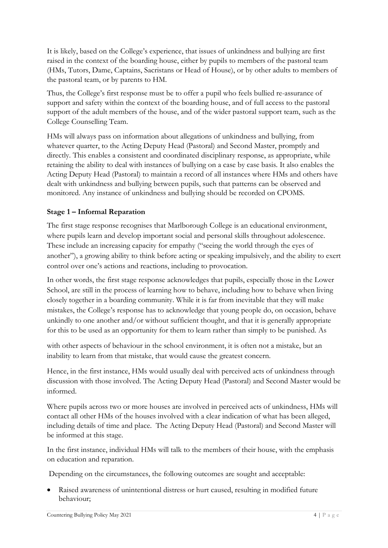It is likely, based on the College's experience, that issues of unkindness and bullying are first raised in the context of the boarding house, either by pupils to members of the pastoral team (HMs, Tutors, Dame, Captains, Sacristans or Head of House), or by other adults to members of the pastoral team, or by parents to HM.

Thus, the College's first response must be to offer a pupil who feels bullied re-assurance of support and safety within the context of the boarding house, and of full access to the pastoral support of the adult members of the house, and of the wider pastoral support team, such as the College Counselling Team.

HMs will always pass on information about allegations of unkindness and bullying, from whatever quarter, to the Acting Deputy Head (Pastoral) and Second Master, promptly and directly. This enables a consistent and coordinated disciplinary response, as appropriate, while retaining the ability to deal with instances of bullying on a case by case basis. It also enables the Acting Deputy Head (Pastoral) to maintain a record of all instances where HMs and others have dealt with unkindness and bullying between pupils, such that patterns can be observed and monitored. Any instance of unkindness and bullying should be recorded on CPOMS.

#### **Stage 1 – Informal Reparation**

The first stage response recognises that Marlborough College is an educational environment, where pupils learn and develop important social and personal skills throughout adolescence. These include an increasing capacity for empathy ("seeing the world through the eyes of another"), a growing ability to think before acting or speaking impulsively, and the ability to exert control over one's actions and reactions, including to provocation.

In other words, the first stage response acknowledges that pupils, especially those in the Lower School, are still in the process of learning how to behave, including how to behave when living closely together in a boarding community. While it is far from inevitable that they will make mistakes, the College's response has to acknowledge that young people do, on occasion, behave unkindly to one another and/or without sufficient thought, and that it is generally appropriate for this to be used as an opportunity for them to learn rather than simply to be punished. As

with other aspects of behaviour in the school environment, it is often not a mistake, but an inability to learn from that mistake, that would cause the greatest concern.

Hence, in the first instance, HMs would usually deal with perceived acts of unkindness through discussion with those involved. The Acting Deputy Head (Pastoral) and Second Master would be informed.

Where pupils across two or more houses are involved in perceived acts of unkindness, HMs will contact all other HMs of the houses involved with a clear indication of what has been alleged, including details of time and place. The Acting Deputy Head (Pastoral) and Second Master will be informed at this stage.

In the first instance, individual HMs will talk to the members of their house, with the emphasis on education and reparation.

Depending on the circumstances, the following outcomes are sought and acceptable:

Raised awareness of unintentional distress or hurt caused, resulting in modified future behaviour;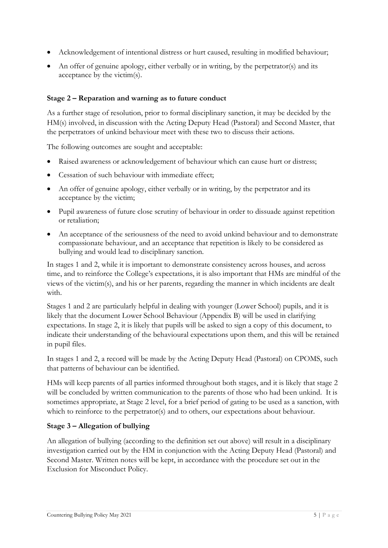- Acknowledgement of intentional distress or hurt caused, resulting in modified behaviour;
- An offer of genuine apology, either verbally or in writing, by the perpetrator(s) and its acceptance by the victim(s).

#### **Stage 2 – Reparation and warning as to future conduct**

As a further stage of resolution, prior to formal disciplinary sanction, it may be decided by the HM(s) involved, in discussion with the Acting Deputy Head (Pastoral) and Second Master, that the perpetrators of unkind behaviour meet with these two to discuss their actions.

The following outcomes are sought and acceptable:

- Raised awareness or acknowledgement of behaviour which can cause hurt or distress;
- Cessation of such behaviour with immediate effect:
- An offer of genuine apology, either verbally or in writing, by the perpetrator and its acceptance by the victim;
- Pupil awareness of future close scrutiny of behaviour in order to dissuade against repetition or retaliation;
- An acceptance of the seriousness of the need to avoid unkind behaviour and to demonstrate compassionate behaviour, and an acceptance that repetition is likely to be considered as bullying and would lead to disciplinary sanction.

In stages 1 and 2, while it is important to demonstrate consistency across houses, and across time, and to reinforce the College's expectations, it is also important that HMs are mindful of the views of the victim(s), and his or her parents, regarding the manner in which incidents are dealt with.

Stages 1 and 2 are particularly helpful in dealing with younger (Lower School) pupils, and it is likely that the document Lower School Behaviour (Appendix B) will be used in clarifying expectations. In stage 2, it is likely that pupils will be asked to sign a copy of this document, to indicate their understanding of the behavioural expectations upon them, and this will be retained in pupil files.

In stages 1 and 2, a record will be made by the Acting Deputy Head (Pastoral) on CPOMS, such that patterns of behaviour can be identified.

HMs will keep parents of all parties informed throughout both stages, and it is likely that stage 2 will be concluded by written communication to the parents of those who had been unkind. It is sometimes appropriate, at Stage 2 level, for a brief period of gating to be used as a sanction, with which to reinforce to the perpetrator(s) and to others, our expectations about behaviour.

#### **Stage 3 – Allegation of bullying**

An allegation of bullying (according to the definition set out above) will result in a disciplinary investigation carried out by the HM in conjunction with the Acting Deputy Head (Pastoral) and Second Master. Written notes will be kept, in accordance with the procedure set out in the Exclusion for Misconduct Policy.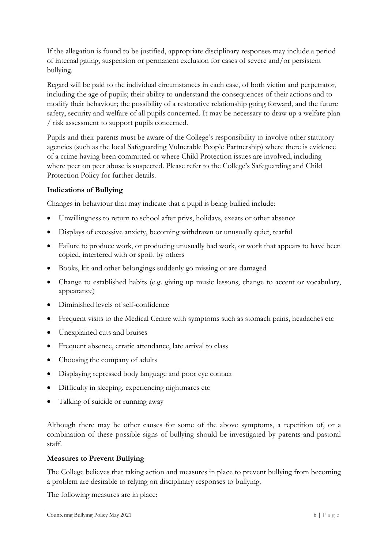If the allegation is found to be justified, appropriate disciplinary responses may include a period of internal gating, suspension or permanent exclusion for cases of severe and/or persistent bullying.

Regard will be paid to the individual circumstances in each case, of both victim and perpetrator, including the age of pupils; their ability to understand the consequences of their actions and to modify their behaviour; the possibility of a restorative relationship going forward, and the future safety, security and welfare of all pupils concerned. It may be necessary to draw up a welfare plan / risk assessment to support pupils concerned.

Pupils and their parents must be aware of the College's responsibility to involve other statutory agencies (such as the local Safeguarding Vulnerable People Partnership) where there is evidence of a crime having been committed or where Child Protection issues are involved, including where peer on peer abuse is suspected. Please refer to the College's Safeguarding and Child Protection Policy for further details.

#### **Indications of Bullying**

Changes in behaviour that may indicate that a pupil is being bullied include:

- Unwillingness to return to school after privs, holidays, exeats or other absence
- Displays of excessive anxiety, becoming withdrawn or unusually quiet, tearful
- Failure to produce work, or producing unusually bad work, or work that appears to have been copied, interfered with or spoilt by others
- Books, kit and other belongings suddenly go missing or are damaged
- Change to established habits (e.g. giving up music lessons, change to accent or vocabulary, appearance)
- Diminished levels of self-confidence
- Frequent visits to the Medical Centre with symptoms such as stomach pains, headaches etc
- Unexplained cuts and bruises
- Frequent absence, erratic attendance, late arrival to class
- Choosing the company of adults
- Displaying repressed body language and poor eye contact
- Difficulty in sleeping, experiencing nightmares etc
- Talking of suicide or running away

Although there may be other causes for some of the above symptoms, a repetition of, or a combination of these possible signs of bullying should be investigated by parents and pastoral staff.

#### **Measures to Prevent Bullying**

The College believes that taking action and measures in place to prevent bullying from becoming a problem are desirable to relying on disciplinary responses to bullying.

The following measures are in place: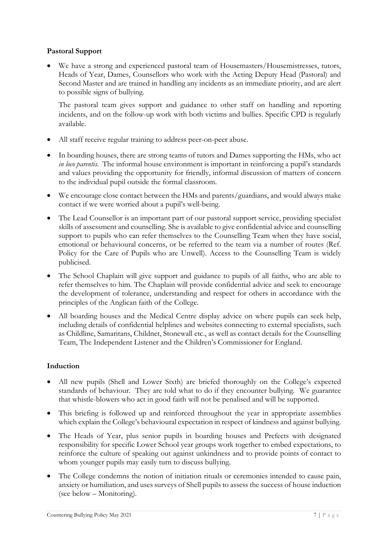#### **Pastoral Support**

• We have a strong and experienced pastoral team of Housemasters/Housemistresses, tutors, Heads of Year, Dames, Counsellors who work with the Acting Deputy Head (Pastoral) and Second Master and are trained in handling any incidents as an immediate priority, and are alert to possible signs of bullying.

The pastoral team gives support and guidance to other staff on handling and reporting incidents, and on the follow-up work with both victims and bullies. Specific CPD is regularly available.

- All staff receive regular training to address peer-on-peer abuse.
- In boarding houses, there are strong teams of tutors and Dames supporting the HMs, who act *in loco parentis.* The informal house environment is important in reinforcing a pupil's standards and values providing the opportunity for friendly, informal discussion of matters of concern to the individual pupil outside the formal classroom.
- We encourage close contact between the HMs and parents/guardians, and would always make contact if we were worried about a pupil's well-being.
- The Lead Counsellor is an important part of our pastoral support service, providing specialist skills of assessment and counselling. She is available to give confidential advice and counselling support to pupils who can refer themselves to the Counselling Team when they have social, emotional or behavioural concerns, or be referred to the team via a number of routes (Ref. Policy for the Care of Pupils who are Unwell). Access to the Counselling Team is widely publicised.
- The School Chaplain will give support and guidance to pupils of all faiths, who are able to refer themselves to him. The Chaplain will provide confidential advice and seek to encourage the development of tolerance, understanding and respect for others in accordance with the principles of the Anglican faith of the College.
- All boarding houses and the Medical Centre display advice on where pupils can seek help, including details of confidential helplines and websites connecting to external specialists, such as Childline, Samaritans, Childnet, Stonewall etc., as well as contact details for the Counselling Team, The Independent Listener and the Children's Commissioner for England.

#### **Induction**

- All new pupils (Shell and Lower Sixth) are briefed thoroughly on the College's expected standards of behaviour. They are told what to do if they encounter bullying. We guarantee that whistle-blowers who act in good faith will not be penalised and will be supported.
- This briefing is followed up and reinforced throughout the year in appropriate assemblies which explain the College's behavioural expectation in respect of kindness and against bullying.
- The Heads of Year, plus senior pupils in boarding houses and Prefects with designated responsibility for specific Lower School year groups work together to embed expectations, to reinforce the culture of speaking out against unkindness and to provide points of contact to whom younger pupils may easily turn to discuss bullying.
- The College condemns the notion of initiation rituals or ceremonies intended to cause pain, anxiety or humiliation, and uses surveys of Shell pupils to assess the success of house induction (see below – Monitoring).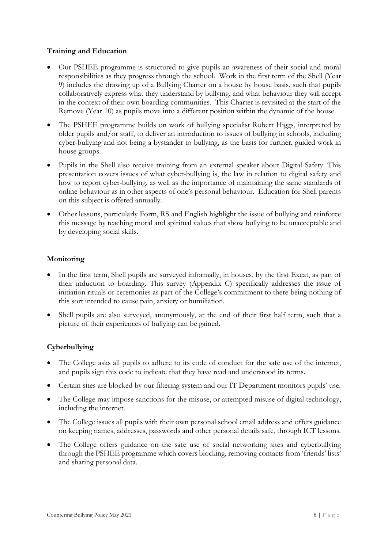#### **Training and Education**

- Our PSHEE programme is structured to give pupils an awareness of their social and moral responsibilities as they progress through the school. Work in the first term of the Shell (Year 9) includes the drawing up of a Bullying Charter on a house by house basis, such that pupils collaboratively express what they understand by bullying, and what behaviour they will accept in the context of their own boarding communities. This Charter is revisited at the start of the Remove (Year 10) as pupils move into a different position within the dynamic of the house.
- The PSHEE programme builds on work of bullying specialist Robert Higgs, interpreted by older pupils and/or staff, to deliver an introduction to issues of bullying in schools, including cyber-bullying and not being a bystander to bullying, as the basis for further, guided work in house groups.
- Pupils in the Shell also receive training from an external speaker about Digital Safety. This presentation covers issues of what cyber-bullying is, the law in relation to digital safety and how to report cyber-bullying, as well as the importance of maintaining the same standards of online behaviour as in other aspects of one's personal behaviour. Education for Shell parents on this subject is offered annually.
- Other lessons, particularly Form, RS and English highlight the issue of bullying and reinforce this message by teaching moral and spiritual values that show bullying to be unacceptable and by developing social skills.

#### **Monitoring**

- In the first term, Shell pupils are surveyed informally, in houses, by the first Exeat, as part of their induction to boarding. This survey (Appendix C) specifically addresses the issue of initiation rituals or ceremonies as part of the College's commitment to there being nothing of this sort intended to cause pain, anxiety or humiliation.
- Shell pupils are also surveyed, anonymously, at the end of their first half term, such that a picture of their experiences of bullying can be gained.

#### **Cyberbullying**

- The College asks all pupils to adhere to its code of conduct for the safe use of the internet, and pupils sign this code to indicate that they have read and understood its terms.
- Certain sites are blocked by our filtering system and our IT Department monitors pupils' use.
- The College may impose sanctions for the misuse, or attempted misuse of digital technology, including the internet.
- The College issues all pupils with their own personal school email address and offers guidance on keeping names, addresses, passwords and other personal details safe, through ICT lessons.
- The College offers guidance on the safe use of social networking sites and cyberbullying through the PSHEE programme which covers blocking, removing contacts from 'friends' lists' and sharing personal data.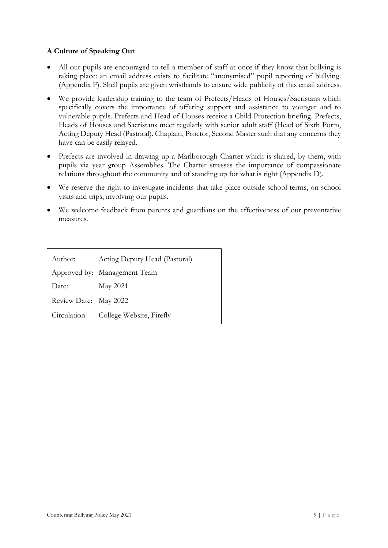#### **A Culture of Speaking Out**

- All our pupils are encouraged to tell a member of staff at once if they know that bullying is taking place: an email address exists to facilitate "anonymised" pupil reporting of bullying. (Appendix F). Shell pupils are given wristbands to ensure wide publicity of this email address.
- We provide leadership training to the team of Prefects/Heads of Houses/Sacristans which specifically covers the importance of offering support and assistance to younger and to vulnerable pupils. Prefects and Head of Houses receive a Child Protection briefing. Prefects, Heads of Houses and Sacristans meet regularly with senior adult staff (Head of Sixth Form, Acting Deputy Head (Pastoral). Chaplain, Proctor, Second Master such that any concerns they have can be easily relayed.
- Prefects are involved in drawing up a Marlborough Charter which is shared, by them, with pupils via year group Assemblies. The Charter stresses the importance of compassionate relations throughout the community and of standing up for what is right (Appendix D).
- We reserve the right to investigate incidents that take place outside school terms, on school visits and trips, involving our pupils.
- We welcome feedback from parents and guardians on the effectiveness of our preventative measures.

| Author:               | Acting Deputy Head (Pastoral)         |
|-----------------------|---------------------------------------|
|                       | Approved by: Management Team          |
| Date:                 | May 2021                              |
| Review Date: May 2022 |                                       |
|                       | Circulation: College Website, Firefly |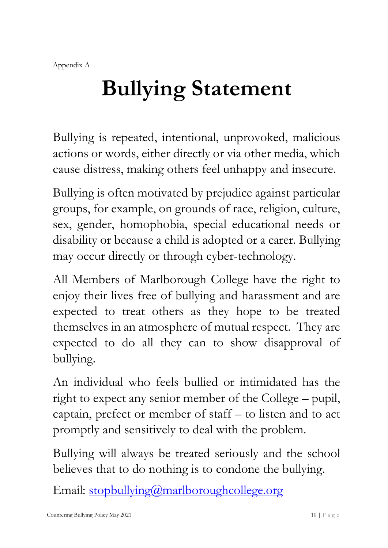# **Bullying Statement**

Bullying is repeated, intentional, unprovoked, malicious actions or words, either directly or via other media, which cause distress, making others feel unhappy and insecure.

Bullying is often motivated by prejudice against particular groups, for example, on grounds of race, religion, culture, sex, gender, homophobia, special educational needs or disability or because a child is adopted or a carer. Bullying may occur directly or through cyber-technology.

All Members of Marlborough College have the right to enjoy their lives free of bullying and harassment and are expected to treat others as they hope to be treated themselves in an atmosphere of mutual respect. They are expected to do all they can to show disapproval of bullying.

An individual who feels bullied or intimidated has the right to expect any senior member of the College – pupil, captain, prefect or member of staff – to listen and to act promptly and sensitively to deal with the problem.

Bullying will always be treated seriously and the school believes that to do nothing is to condone the bullying.

Email: [stopbullying@marlboroughcollege.org](mailto:stopbullying@marlboroughcollege.org)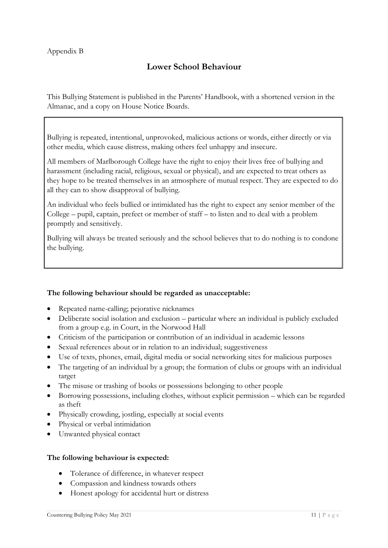# **Lower School Behaviour**

This Bullying Statement is published in the Parents' Handbook, with a shortened version in the Almanac, and a copy on House Notice Boards.

Bullying is repeated, intentional, unprovoked, malicious actions or words, either directly or via other media, which cause distress, making others feel unhappy and insecure.

All members of Marlborough College have the right to enjoy their lives free of bullying and harassment (including racial, religious, sexual or physical), and are expected to treat others as they hope to be treated themselves in an atmosphere of mutual respect. They are expected to do all they can to show disapproval of bullying.

An individual who feels bullied or intimidated has the right to expect any senior member of the College – pupil, captain, prefect or member of staff – to listen and to deal with a problem promptly and sensitively.

Bullying will always be treated seriously and the school believes that to do nothing is to condone the bullying.

#### **The following behaviour should be regarded as unacceptable:**

- Repeated name-calling; pejorative nicknames
- Deliberate social isolation and exclusion particular where an individual is publicly excluded from a group e.g. in Court, in the Norwood Hall
- Criticism of the participation or contribution of an individual in academic lessons
- Sexual references about or in relation to an individual; suggestiveness
- Use of texts, phones, email, digital media or social networking sites for malicious purposes
- The targeting of an individual by a group; the formation of clubs or groups with an individual target
- The misuse or trashing of books or possessions belonging to other people
- Borrowing possessions, including clothes, without explicit permission which can be regarded as theft
- Physically crowding, jostling, especially at social events
- Physical or verbal intimidation
- Unwanted physical contact

#### **The following behaviour is expected:**

- Tolerance of difference, in whatever respect
- Compassion and kindness towards others
- Honest apology for accidental hurt or distress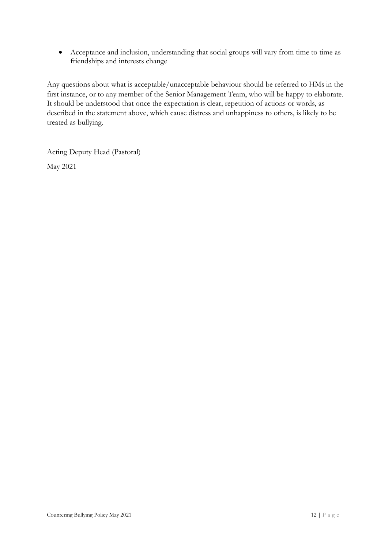• Acceptance and inclusion, understanding that social groups will vary from time to time as friendships and interests change

Any questions about what is acceptable/unacceptable behaviour should be referred to HMs in the first instance, or to any member of the Senior Management Team, who will be happy to elaborate. It should be understood that once the expectation is clear, repetition of actions or words, as described in the statement above, which cause distress and unhappiness to others, is likely to be treated as bullying.

Acting Deputy Head (Pastoral) May 2021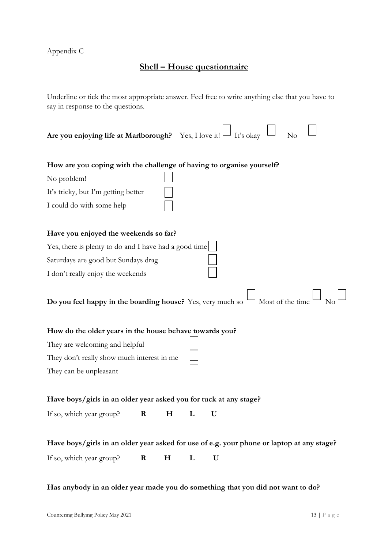Appendix C

## **Shell – House questionnaire**

Underline or tick the most appropriate answer. Feel free to write anything else that you have to say in response to the questions.

| Are you enjoying life at Marlborough? Yes, I love it!                                     |         |                |  | $\Box$ It's okay |  | No |  |
|-------------------------------------------------------------------------------------------|---------|----------------|--|------------------|--|----|--|
| How are you coping with the challenge of having to organise yourself?                     |         |                |  |                  |  |    |  |
| No problem!                                                                               |         |                |  |                  |  |    |  |
| It's tricky, but I'm getting better                                                       |         |                |  |                  |  |    |  |
| I could do with some help                                                                 |         |                |  |                  |  |    |  |
| Have you enjoyed the weekends so far?                                                     |         |                |  |                  |  |    |  |
| Yes, there is plenty to do and I have had a good time                                     |         |                |  |                  |  |    |  |
| Saturdays are good but Sundays drag                                                       |         |                |  |                  |  |    |  |
| I don't really enjoy the weekends                                                         |         |                |  |                  |  |    |  |
| Most of the time<br>Do you feel happy in the boarding house? Yes, very much so            |         |                |  |                  |  |    |  |
| How do the older years in the house behave towards you?                                   |         |                |  |                  |  |    |  |
| They are welcoming and helpful                                                            |         |                |  |                  |  |    |  |
| They don't really show much interest in me                                                |         |                |  |                  |  |    |  |
| They can be unpleasant                                                                    |         |                |  |                  |  |    |  |
| Have boys/girls in an older year asked you for tuck at any stage?                         |         |                |  |                  |  |    |  |
| If so, which year group?                                                                  | $\bf R$ | $H_{\rm}$<br>L |  | U                |  |    |  |
| Have boys/girls in an older year asked for use of e.g. your phone or laptop at any stage? |         |                |  |                  |  |    |  |
| If so, which year group?                                                                  | $\bf R$ | $H_{\rm}$<br>L |  | U                |  |    |  |

**Has anybody in an older year made you do something that you did not want to do?**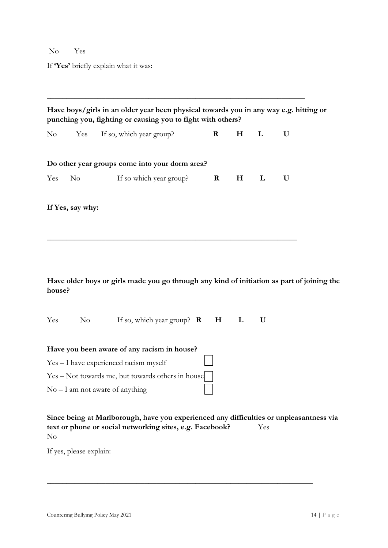### NoYes

If **'Yes'** briefly explain what it was:

|        |                  | Have boys/girls in an older year been physical towards you in any way e.g. hitting or<br>punching you, fighting or causing you to fight with others?                            |             |           |     |   |
|--------|------------------|---------------------------------------------------------------------------------------------------------------------------------------------------------------------------------|-------------|-----------|-----|---|
| No     | Yes              | If so, which year group?                                                                                                                                                        | $\mathbf R$ | $H_{\rm}$ | L   | U |
|        |                  | Do other year groups come into your dorm area?                                                                                                                                  |             |           |     |   |
| Yes    | $\rm No$         | If so which year group?                                                                                                                                                         | $\bf R$     | $H_{\rm}$ | L   | U |
|        | If Yes, say why: |                                                                                                                                                                                 |             |           |     |   |
| house? |                  | Have older boys or girls made you go through any kind of initiation as part of joining the                                                                                      |             |           |     |   |
| Yes    | No n             | If so, which year group? $\mathbf{R}$                                                                                                                                           | H           | L         | U   |   |
|        |                  | Have you been aware of any racism in house?<br>Yes - I have experienced racism myself<br>Yes – Not towards me, but towards others in house<br>$No - I$ am not aware of anything |             |           |     |   |
| No     |                  | Since being at Marlborough, have you experienced any difficulties or unpleasantness via<br>text or phone or social networking sites, e.g. Facebook?                             |             |           | Yes |   |

\_\_\_\_\_\_\_\_\_\_\_\_\_\_\_\_\_\_\_\_\_\_\_\_\_\_\_\_\_\_\_\_\_\_\_\_\_\_\_\_\_\_\_\_\_\_\_\_\_\_\_\_\_\_\_\_\_\_\_\_\_\_\_\_\_\_\_\_

If yes, please explain: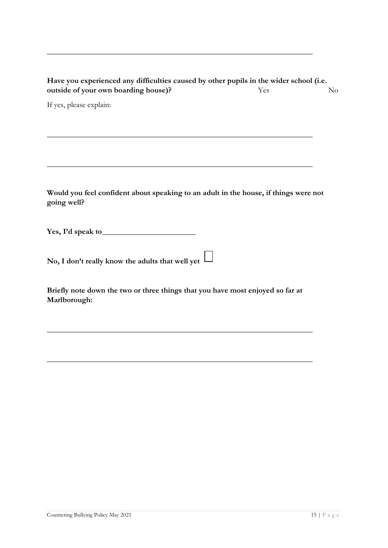| Have you experienced any difficulties caused by other pupils in the wider school (i.e. |     |                |  |  |  |  |
|----------------------------------------------------------------------------------------|-----|----------------|--|--|--|--|
| outside of your own boarding house)?                                                   | Yes | N <sub>0</sub> |  |  |  |  |
|                                                                                        |     |                |  |  |  |  |

\_\_\_\_\_\_\_\_\_\_\_\_\_\_\_\_\_\_\_\_\_\_\_\_\_\_\_\_\_\_\_\_\_\_\_\_\_\_\_\_\_\_\_\_\_\_\_\_\_\_\_\_\_\_\_\_\_\_\_\_\_\_\_\_\_\_\_\_

\_\_\_\_\_\_\_\_\_\_\_\_\_\_\_\_\_\_\_\_\_\_\_\_\_\_\_\_\_\_\_\_\_\_\_\_\_\_\_\_\_\_\_\_\_\_\_\_\_\_\_\_\_\_\_\_\_\_\_\_\_\_\_\_\_\_\_\_

\_\_\_\_\_\_\_\_\_\_\_\_\_\_\_\_\_\_\_\_\_\_\_\_\_\_\_\_\_\_\_\_\_\_\_\_\_\_\_\_\_\_\_\_\_\_\_\_\_\_\_\_\_\_\_\_\_\_\_\_\_\_\_\_\_\_\_\_

If yes, please explain:

**Would you feel confident about speaking to an adult in the house, if things were not going well?**

**Yes, I'd speak to**\_\_\_\_\_\_\_\_\_\_\_\_\_\_\_\_\_\_\_\_\_\_\_\_

**No, I don't really know the adults that well yet** 

**Briefly note down the two or three things that you have most enjoyed so far at Marlborough:**

\_\_\_\_\_\_\_\_\_\_\_\_\_\_\_\_\_\_\_\_\_\_\_\_\_\_\_\_\_\_\_\_\_\_\_\_\_\_\_\_\_\_\_\_\_\_\_\_\_\_\_\_\_\_\_\_\_\_\_\_\_\_\_\_\_\_\_\_

\_\_\_\_\_\_\_\_\_\_\_\_\_\_\_\_\_\_\_\_\_\_\_\_\_\_\_\_\_\_\_\_\_\_\_\_\_\_\_\_\_\_\_\_\_\_\_\_\_\_\_\_\_\_\_\_\_\_\_\_\_\_\_\_\_\_\_\_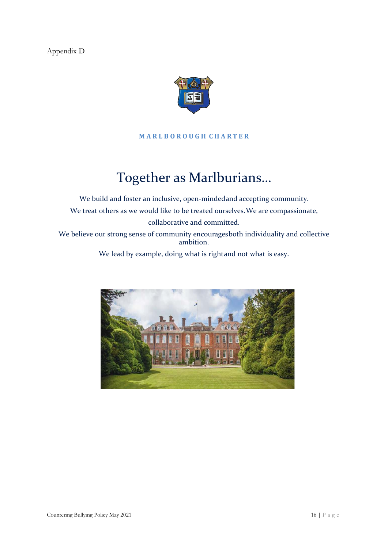Appendix D



#### **M A R L B O R O U G H C H A R T E R**

# Together as Marlburians…

We build and foster an inclusive, open-mindedand accepting community. We treat others as we would like to be treated ourselves.We are compassionate, collaborative and committed. We believe our strong sense of community encouragesboth individuality and collective ambition.

We lead by example, doing what is rightand not what is easy.